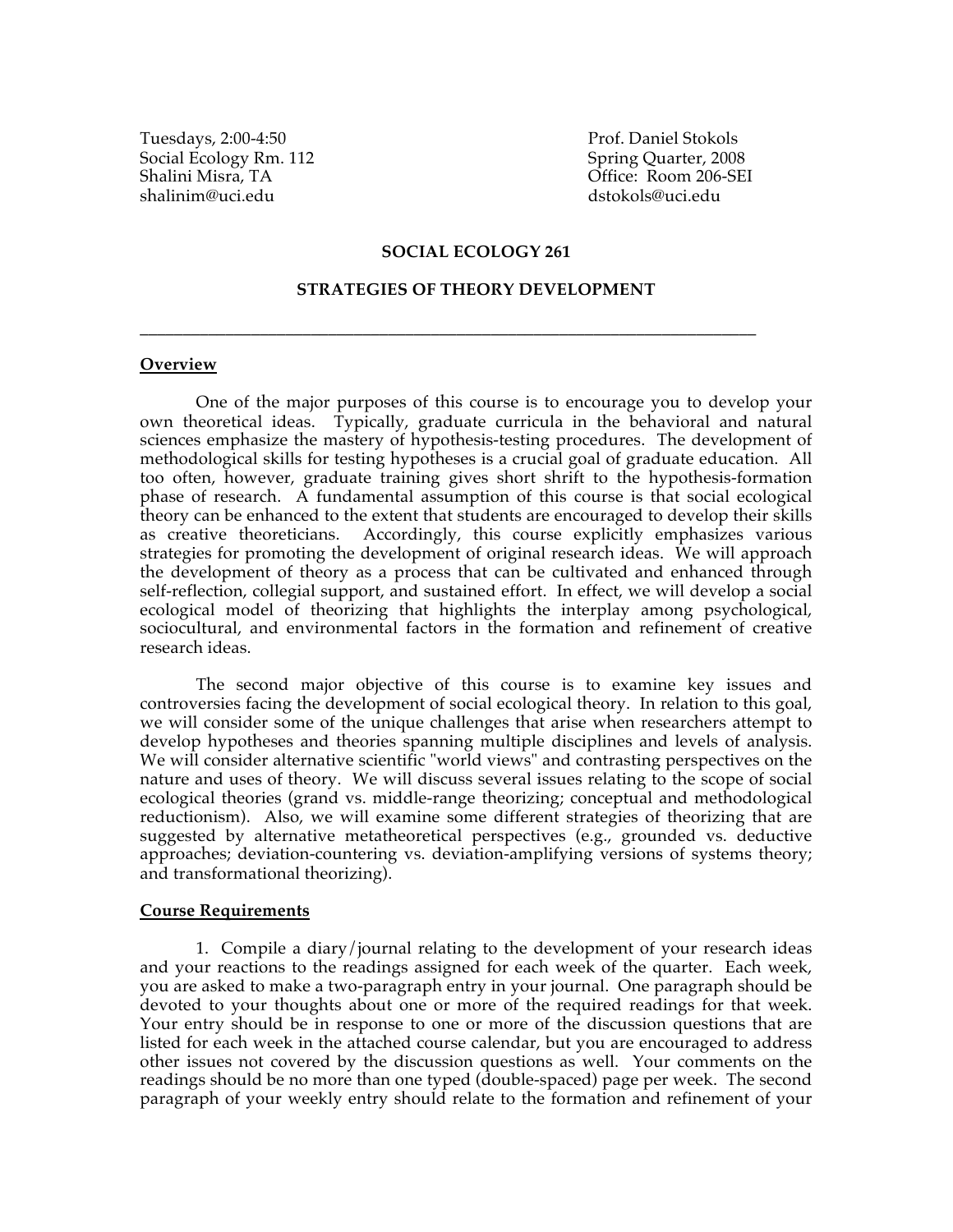Tuesdays, 2:00-4:50 Prof. Daniel Stokols Social Ecology Rm. 112 Spring Quarter, 2008 Shalini Misra, TA Office: Room 206-SEI shalinim@uci.edu dstokols@uci.edu

#### **SOCIAL ECOLOGY 261**

#### **STRATEGIES OF THEORY DEVELOPMENT**

**\_\_\_\_\_\_\_\_\_\_\_\_\_\_\_\_\_\_\_\_\_\_\_\_\_\_\_\_\_\_\_\_\_\_\_\_\_\_\_\_\_\_\_\_\_\_\_\_\_\_\_\_\_\_\_\_\_\_\_\_\_\_\_\_\_\_\_\_\_\_\_\_**

#### **Overview**

One of the major purposes of this course is to encourage you to develop your own theoretical ideas. Typically, graduate curricula in the behavioral and natural sciences emphasize the mastery of hypothesis-testing procedures. The development of methodological skills for testing hypotheses is a crucial goal of graduate education. All too often, however, graduate training gives short shrift to the hypothesis-formation phase of research. A fundamental assumption of this course is that social ecological theory can be enhanced to the extent that students are encouraged to develop their skills as creative theoreticians. Accordingly, this course explicitly emphasizes various strategies for promoting the development of original research ideas. We will approach the development of theory as a process that can be cultivated and enhanced through self-reflection, collegial support, and sustained effort. In effect, we will develop a social ecological model of theorizing that highlights the interplay among psychological, sociocultural, and environmental factors in the formation and refinement of creative research ideas.

The second major objective of this course is to examine key issues and controversies facing the development of social ecological theory. In relation to this goal, we will consider some of the unique challenges that arise when researchers attempt to develop hypotheses and theories spanning multiple disciplines and levels of analysis. We will consider alternative scientific "world views" and contrasting perspectives on the nature and uses of theory. We will discuss several issues relating to the scope of social ecological theories (grand vs. middle-range theorizing; conceptual and methodological reductionism). Also, we will examine some different strategies of theorizing that are suggested by alternative metatheoretical perspectives (e.g., grounded vs. deductive approaches; deviation-countering vs. deviation-amplifying versions of systems theory; and transformational theorizing).

#### **Course Requirements**

1. Compile a diary/journal relating to the development of your research ideas and your reactions to the readings assigned for each week of the quarter. Each week, you are asked to make a two-paragraph entry in your journal. One paragraph should be devoted to your thoughts about one or more of the required readings for that week. Your entry should be in response to one or more of the discussion questions that are listed for each week in the attached course calendar, but you are encouraged to address other issues not covered by the discussion questions as well. Your comments on the readings should be no more than one typed (double-spaced) page per week. The second paragraph of your weekly entry should relate to the formation and refinement of your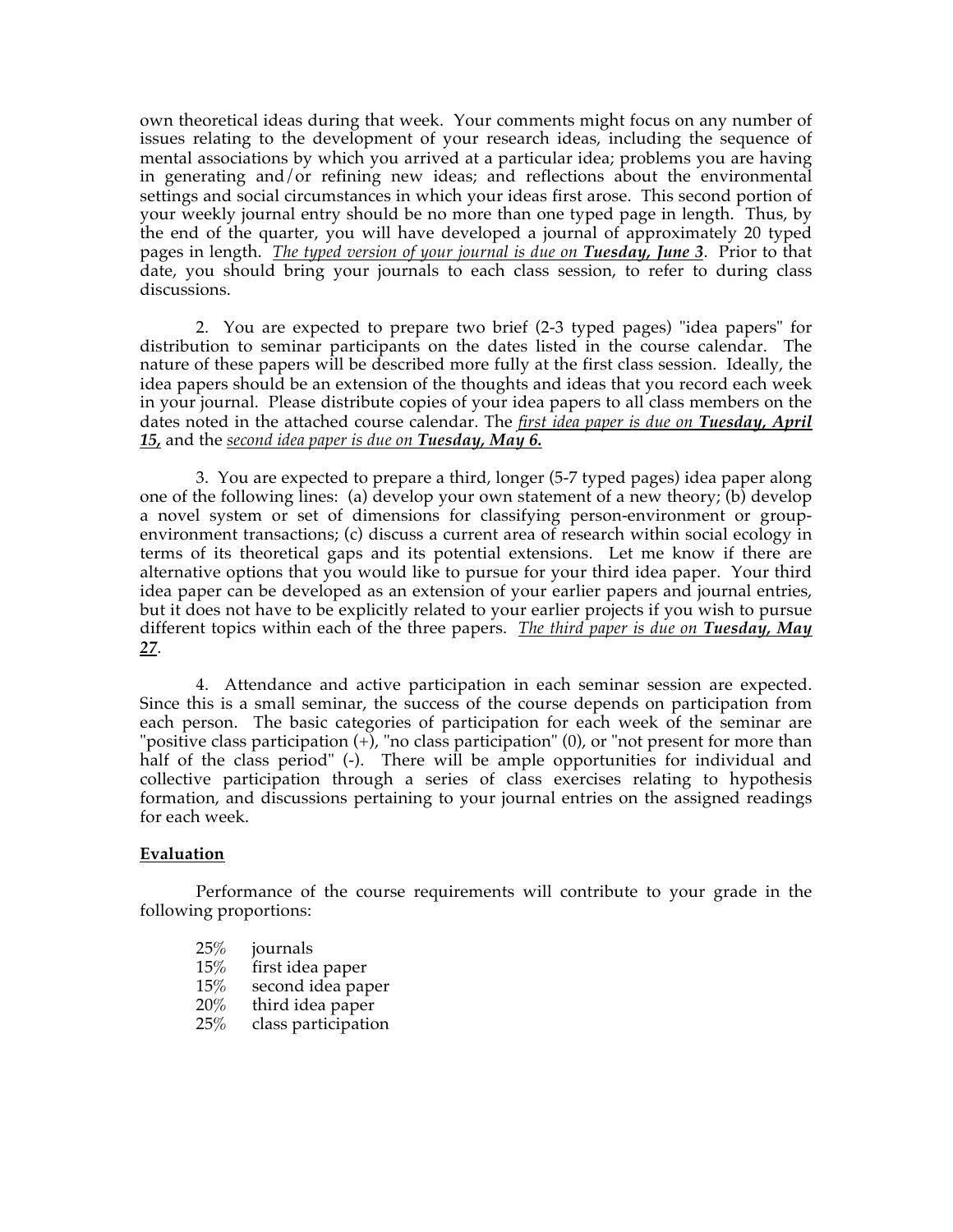own theoretical ideas during that week. Your comments might focus on any number of issues relating to the development of your research ideas, including the sequence of mental associations by which you arrived at a particular idea; problems you are having in generating and/or refining new ideas; and reflections about the environmental settings and social circumstances in which your ideas first arose. This second portion of your weekly journal entry should be no more than one typed page in length. Thus, by the end of the quarter, you will have developed a journal of approximately 20 typed pages in length. *The typed version of your journal is due on Tuesday, June 3*. Prior to that date, you should bring your journals to each class session, to refer to during class discussions.

2. You are expected to prepare two brief (2-3 typed pages) "idea papers" for distribution to seminar participants on the dates listed in the course calendar. The nature of these papers will be described more fully at the first class session. Ideally, the idea papers should be an extension of the thoughts and ideas that you record each week in your journal. Please distribute copies of your idea papers to all class members on the dates noted in the attached course calendar. The *first idea paper is due on Tuesday, April 15,* and the *second idea paper is due on Tuesday, May 6.*

3. You are expected to prepare a third, longer (5-7 typed pages) idea paper along one of the following lines: (a) develop your own statement of a new theory; (b) develop a novel system or set of dimensions for classifying person-environment or groupenvironment transactions; (c) discuss a current area of research within social ecology in terms of its theoretical gaps and its potential extensions. Let me know if there are alternative options that you would like to pursue for your third idea paper. Your third idea paper can be developed as an extension of your earlier papers and journal entries, but it does not have to be explicitly related to your earlier projects if you wish to pursue different topics within each of the three papers. *The third paper is due on Tuesday, May 27*.

4. Attendance and active participation in each seminar session are expected. Since this is a small seminar, the success of the course depends on participation from each person. The basic categories of participation for each week of the seminar are "positive class participation  $(+)$ , "no class participation"  $(0)$ , or "not present for more than half of the class period" (-). There will be ample opportunities for individual and collective participation through a series of class exercises relating to hypothesis formation, and discussions pertaining to your journal entries on the assigned readings for each week.

### **Evaluation**

Performance of the course requirements will contribute to your grade in the following proportions:

- 
- 25% journals<br>15% first idea first idea paper
- 15% second idea paper
- 20% third idea paper
- 25% class participation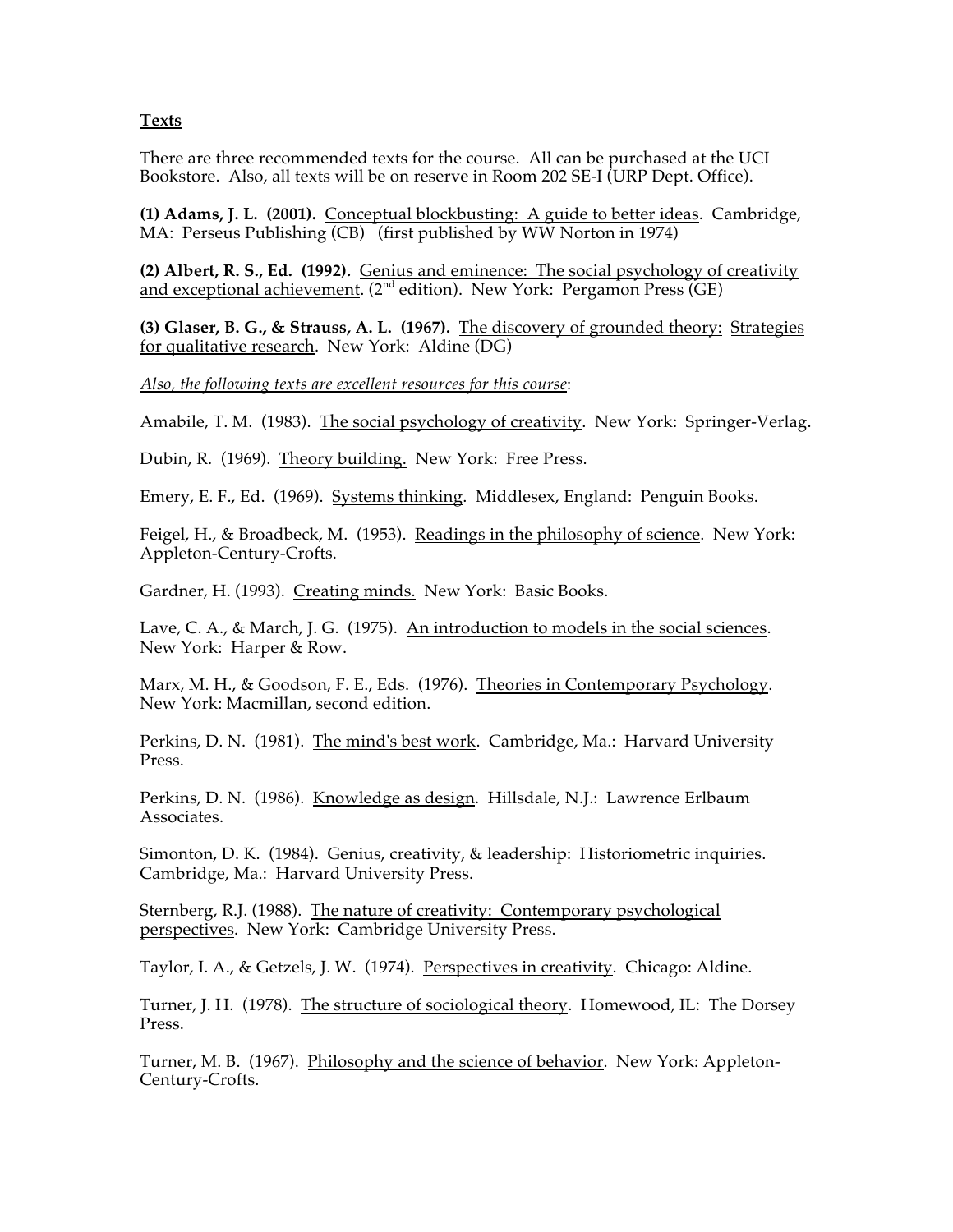**Texts**

There are three recommended texts for the course. All can be purchased at the UCI Bookstore. Also, all texts will be on reserve in Room 202 SE-I (URP Dept. Office).

**(1) Adams, J. L. (2001).** Conceptual blockbusting: A guide to better ideas. Cambridge, MA: Perseus Publishing (CB) (first published by WW Norton in 1974)

**(2) Albert, R. S., Ed. (1992).** Genius and eminence: The social psychology of creativity and exceptional achievement. (2<sup>nd</sup> edition). New York: Pergamon Press (GE)

**(3) Glaser, B. G., & Strauss, A. L. (1967).** The discovery of grounded theory: Strategies for qualitative research. New York: Aldine (DG)

*Also, the following texts are excellent resources for this course*:

Amabile, T. M. (1983). The social psychology of creativity. New York: Springer-Verlag.

Dubin, R. (1969). Theory building. New York: Free Press.

Emery, E. F., Ed. (1969). Systems thinking. Middlesex, England: Penguin Books.

Feigel, H., & Broadbeck, M. (1953). Readings in the philosophy of science. New York: Appleton-Century-Crofts.

Gardner, H. (1993). Creating minds. New York: Basic Books.

Lave, C. A., & March, J. G. (1975). An introduction to models in the social sciences. New York: Harper & Row.

Marx, M. H., & Goodson, F. E., Eds. (1976). Theories in Contemporary Psychology. New York: Macmillan, second edition.

Perkins, D. N. (1981). The mind's best work. Cambridge, Ma.: Harvard University Press.

Perkins, D. N. (1986). Knowledge as design. Hillsdale, N.J.: Lawrence Erlbaum Associates.

Simonton, D. K. (1984). Genius, creativity, & leadership: Historiometric inquiries. Cambridge, Ma.: Harvard University Press.

Sternberg, R.J. (1988). The nature of creativity: Contemporary psychological perspectives. New York: Cambridge University Press.

Taylor, I. A., & Getzels, J. W. (1974). Perspectives in creativity. Chicago: Aldine.

Turner, J. H. (1978). The structure of sociological theory. Homewood, IL: The Dorsey Press.

Turner, M. B. (1967). Philosophy and the science of behavior. New York: Appleton-Century-Crofts.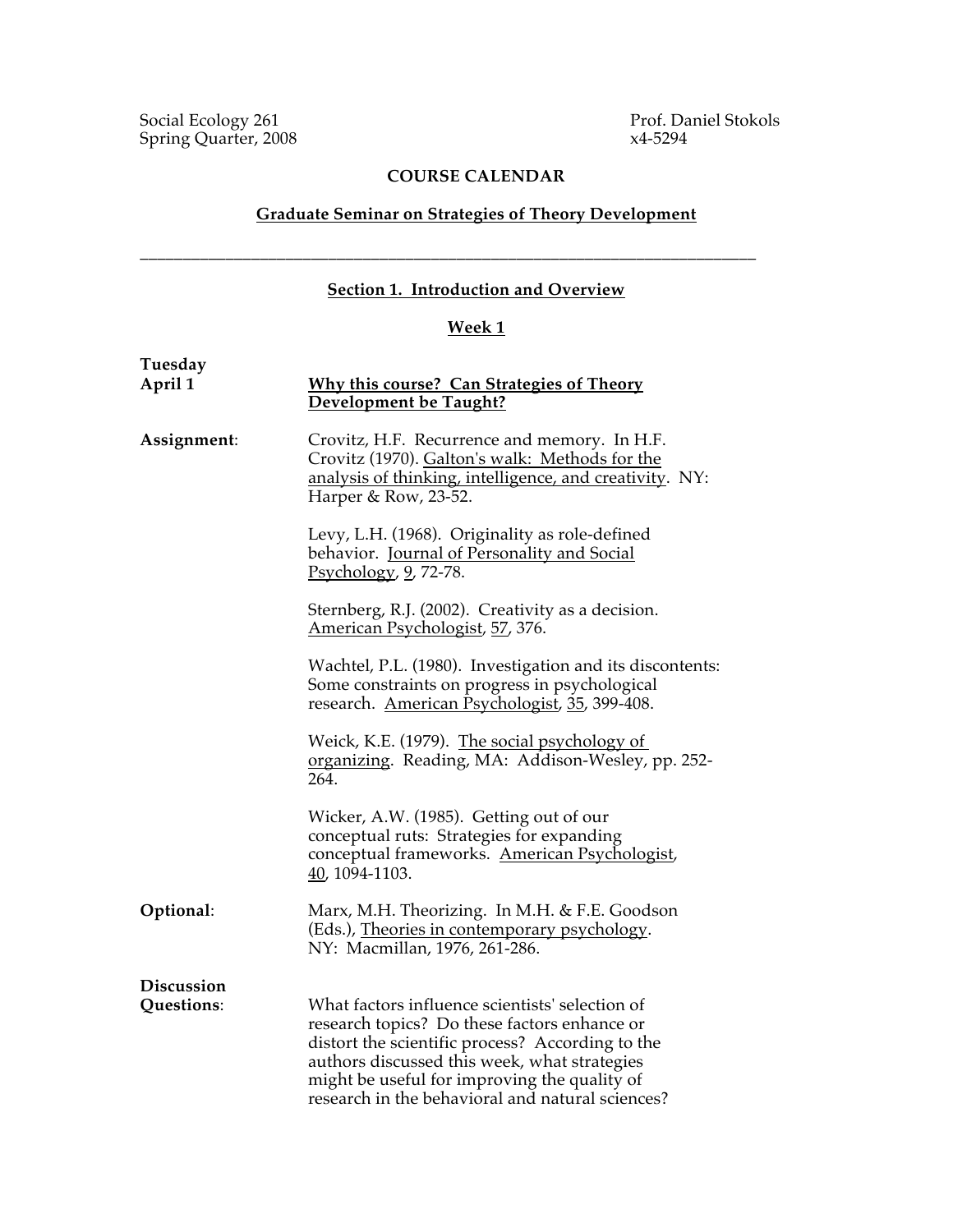### **COURSE CALENDAR**

### **Graduate Seminar on Strategies of Theory Development**

### **Section 1. Introduction and Overview**

\_\_\_\_\_\_\_\_\_\_\_\_\_\_\_\_\_\_\_\_\_\_\_\_\_\_\_\_\_\_\_\_\_\_\_\_\_\_\_\_\_\_\_\_\_\_\_\_\_\_\_\_\_\_\_\_\_\_\_\_\_\_\_\_\_\_\_\_\_\_\_\_

## **Week 1**

| Tuesday<br>April 1       | <b>Why this course? Can Strategies of Theory</b><br>Development be Taught?                                                                                                                                                                                                                              |
|--------------------------|---------------------------------------------------------------------------------------------------------------------------------------------------------------------------------------------------------------------------------------------------------------------------------------------------------|
| Assignment:              | Crovitz, H.F. Recurrence and memory. In H.F.<br>Crovitz (1970). Galton's walk: Methods for the<br>analysis of thinking, intelligence, and creativity. NY:<br>Harper & Row, 23-52.                                                                                                                       |
|                          | Levy, L.H. (1968). Originality as role-defined<br>behavior. Journal of Personality and Social<br>Psychology, 9, 72-78.                                                                                                                                                                                  |
|                          | Sternberg, R.J. (2002). Creativity as a decision.<br>American Psychologist, 57, 376.                                                                                                                                                                                                                    |
|                          | Wachtel, P.L. (1980). Investigation and its discontents:<br>Some constraints on progress in psychological<br>research. American Psychologist, 35, 399-408.                                                                                                                                              |
|                          | Weick, K.E. (1979). The social psychology of<br>organizing. Reading, MA: Addison-Wesley, pp. 252-<br>264.                                                                                                                                                                                               |
|                          | Wicker, A.W. (1985). Getting out of our<br>conceptual ruts: Strategies for expanding<br>conceptual frameworks. American Psychologist,<br>40, 1094-1103.                                                                                                                                                 |
| Optional:                | Marx, M.H. Theorizing. In M.H. & F.E. Goodson<br>(Eds.), Theories in contemporary psychology.<br>NY: Macmillan, 1976, 261-286.                                                                                                                                                                          |
| Discussion<br>Questions: | What factors influence scientists' selection of<br>research topics? Do these factors enhance or<br>distort the scientific process? According to the<br>authors discussed this week, what strategies<br>might be useful for improving the quality of<br>research in the behavioral and natural sciences? |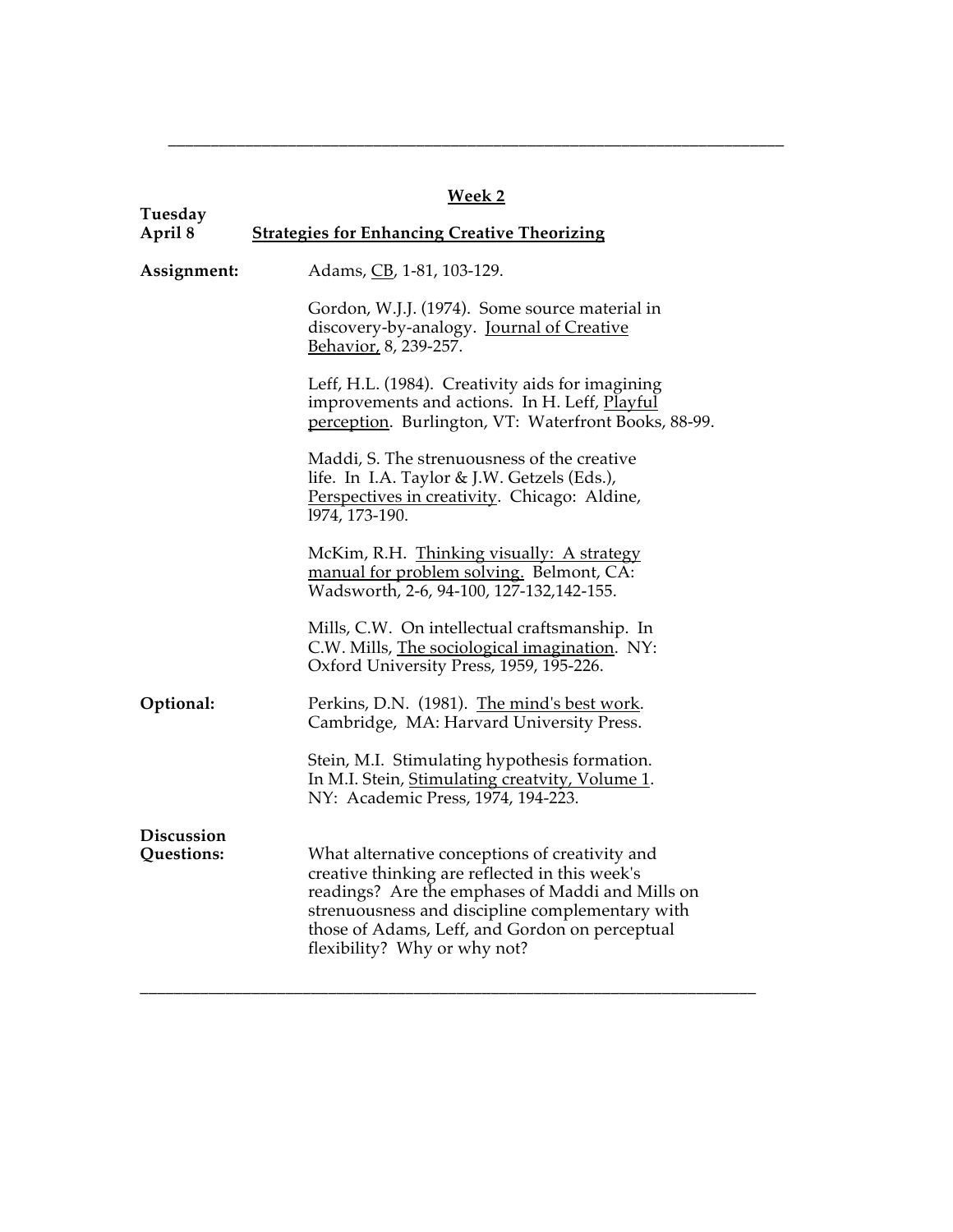| W.<br>ρ<br>V.<br>e |  |
|--------------------|--|
|                    |  |

\_\_\_\_\_\_\_\_\_\_\_\_\_\_\_\_\_\_\_\_\_\_\_\_\_\_\_\_\_\_\_\_\_\_\_\_\_\_\_\_\_\_\_\_\_\_\_\_\_\_\_\_\_\_\_\_\_\_\_\_\_\_\_\_\_\_\_\_\_\_\_\_

| Tuesday                         | .                                                                                                                                                                                                                                                                                         |
|---------------------------------|-------------------------------------------------------------------------------------------------------------------------------------------------------------------------------------------------------------------------------------------------------------------------------------------|
| April 8                         | <b>Strategies for Enhancing Creative Theorizing</b>                                                                                                                                                                                                                                       |
| Assignment:                     | Adams, CB, 1-81, 103-129.                                                                                                                                                                                                                                                                 |
|                                 | Gordon, W.J.J. (1974). Some source material in<br>discovery-by-analogy. Journal of Creative<br>Behavior, 8, 239-257.                                                                                                                                                                      |
|                                 | Leff, H.L. (1984). Creativity aids for imagining<br>improvements and actions. In H. Leff, Playful<br>perception. Burlington, VT: Waterfront Books, 88-99.                                                                                                                                 |
|                                 | Maddi, S. The strenuousness of the creative<br>life. In I.A. Taylor & J.W. Getzels (Eds.),<br>Perspectives in creativity. Chicago: Aldine,<br>1974, 173-190.                                                                                                                              |
|                                 | McKim, R.H. Thinking visually: A strategy<br>manual for problem solving. Belmont, CA:<br>Wadsworth, 2-6, 94-100, 127-132, 142-155.                                                                                                                                                        |
|                                 | Mills, C.W. On intellectual craftsmanship. In<br>C.W. Mills, The sociological imagination. NY:<br>Oxford University Press, 1959, 195-226.                                                                                                                                                 |
| Optional:                       | Perkins, D.N. (1981). The mind's best work.<br>Cambridge, MA: Harvard University Press.                                                                                                                                                                                                   |
|                                 | Stein, M.I. Stimulating hypothesis formation.<br>In M.I. Stein, Stimulating creatvity, Volume 1.<br>NY: Academic Press, 1974, 194-223.                                                                                                                                                    |
| <b>Discussion</b><br>Questions: | What alternative conceptions of creativity and<br>creative thinking are reflected in this week's<br>readings? Are the emphases of Maddi and Mills on<br>strenuousness and discipline complementary with<br>those of Adams, Leff, and Gordon on perceptual<br>flexibility? Why or why not? |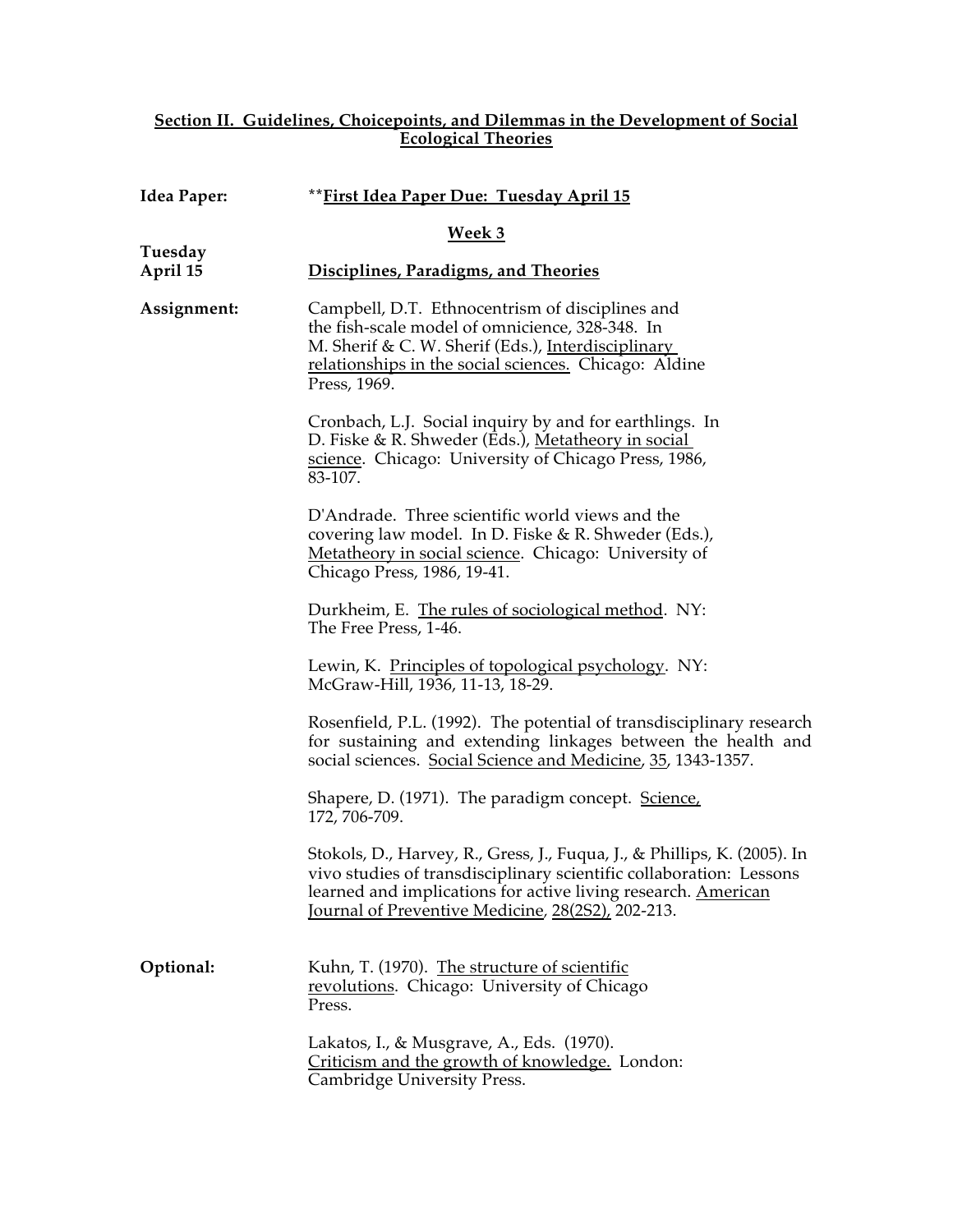### **Section II. Guidelines, Choicepoints, and Dilemmas in the Development of Social Ecological Theories**

| Idea Paper:         | ** First Idea Paper Due: Tuesday April 15                                                                                                                                                                                                                             |
|---------------------|-----------------------------------------------------------------------------------------------------------------------------------------------------------------------------------------------------------------------------------------------------------------------|
|                     | Week 3                                                                                                                                                                                                                                                                |
| Tuesday<br>April 15 | Disciplines, Paradigms, and Theories                                                                                                                                                                                                                                  |
| Assignment:         | Campbell, D.T. Ethnocentrism of disciplines and<br>the fish-scale model of omnicience, 328-348. In<br>M. Sherif & C. W. Sherif (Eds.), Interdisciplinary<br>relationships in the social sciences. Chicago: Aldine<br>Press, 1969.                                     |
|                     | Cronbach, L.J. Social inquiry by and for earthlings. In<br>D. Fiske & R. Shweder (Eds.), <u>Metatheory in social</u><br>science. Chicago: University of Chicago Press, 1986,<br>83-107.                                                                               |
|                     | D'Andrade. Three scientific world views and the<br>covering law model. In D. Fiske & R. Shweder (Eds.),<br>Metatheory in social science. Chicago: University of<br>Chicago Press, 1986, 19-41.                                                                        |
|                     | Durkheim, E. The rules of sociological method. NY:<br>The Free Press, 1-46.                                                                                                                                                                                           |
|                     | Lewin, K. Principles of topological psychology. NY:<br>McGraw-Hill, 1936, 11-13, 18-29.                                                                                                                                                                               |
|                     | Rosenfield, P.L. (1992). The potential of transdisciplinary research<br>for sustaining and extending linkages between the health and<br>social sciences. Social Science and Medicine, 35, 1343-1357.                                                                  |
|                     | Shapere, D. (1971). The paradigm concept. Science,<br>172, 706-709.                                                                                                                                                                                                   |
|                     | Stokols, D., Harvey, R., Gress, J., Fuqua, J., & Phillips, K. (2005). In<br>vivo studies of transdisciplinary scientific collaboration: Lessons<br>learned and implications for active living research. American<br>Journal of Preventive Medicine, 28(2S2), 202-213. |
| Optional:           | Kuhn, T. (1970). The structure of scientific<br>revolutions. Chicago: University of Chicago<br>Press.                                                                                                                                                                 |
|                     | Lakatos, I., & Musgrave, A., Eds. (1970).<br>Criticism and the growth of knowledge. London:<br>Cambridge University Press.                                                                                                                                            |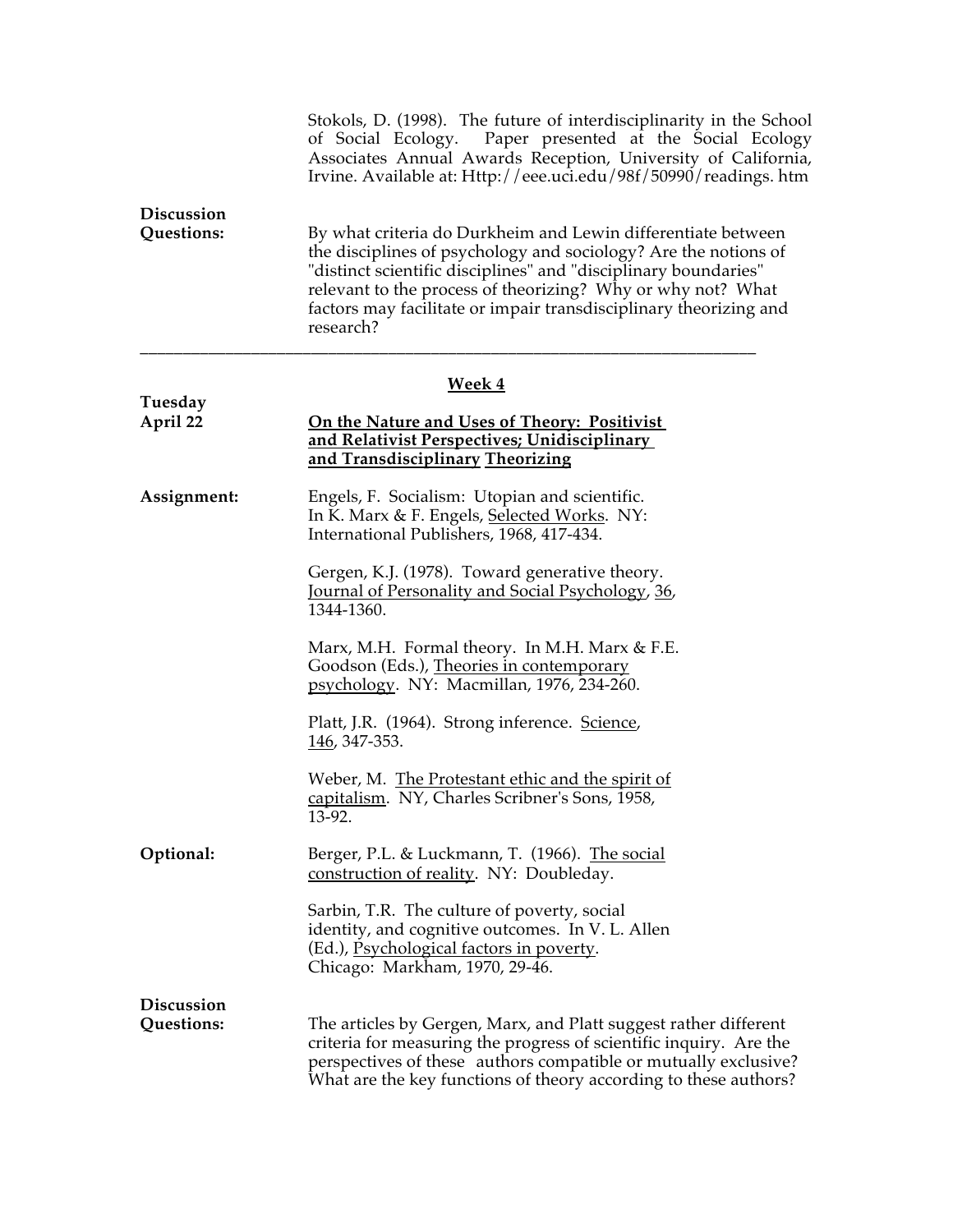|                                 | Stokols, D. (1998). The future of interdisciplinarity in the School<br>Paper presented at the Social Ecology<br>of Social Ecology.<br>Associates Annual Awards Reception, University of California,<br>Irvine. Available at: Http://eee.uci.edu/98f/50990/readings. htm                                                                             |
|---------------------------------|-----------------------------------------------------------------------------------------------------------------------------------------------------------------------------------------------------------------------------------------------------------------------------------------------------------------------------------------------------|
| <b>Discussion</b><br>Questions: | By what criteria do Durkheim and Lewin differentiate between<br>the disciplines of psychology and sociology? Are the notions of<br>"distinct scientific disciplines" and "disciplinary boundaries"<br>relevant to the process of theorizing? Why or why not? What<br>factors may facilitate or impair transdisciplinary theorizing and<br>research? |
|                                 | <b>Week 4</b>                                                                                                                                                                                                                                                                                                                                       |
| Tuesday<br>April 22             | On the Nature and Uses of Theory: Positivist<br><u>and Relativist Perspectives; Unidisciplinary </u><br>and Transdisciplinary Theorizing                                                                                                                                                                                                            |
| Assignment:                     | Engels, F. Socialism: Utopian and scientific.<br>In K. Marx & F. Engels, Selected Works. NY:<br>International Publishers, 1968, 417-434.                                                                                                                                                                                                            |
|                                 | Gergen, K.J. (1978). Toward generative theory.<br>Journal of Personality and Social Psychology, 36,<br>1344-1360.                                                                                                                                                                                                                                   |
|                                 | Marx, M.H. Formal theory. In M.H. Marx & F.E.<br>Goodson (Eds.), Theories in contemporary<br>psychology. NY: Macmillan, 1976, 234-260.                                                                                                                                                                                                              |
|                                 | Platt, J.R. (1964). Strong inference. Science,<br>146, 347-353.                                                                                                                                                                                                                                                                                     |
|                                 | Weber, M. The Protestant ethic and the spirit of<br>capitalism. NY, Charles Scribner's Sons, 1958,<br>13-92.                                                                                                                                                                                                                                        |
| Optional:                       | Berger, P.L. & Luckmann, T. (1966). The social<br>construction of reality. NY: Doubleday.                                                                                                                                                                                                                                                           |
|                                 | Sarbin, T.R. The culture of poverty, social<br>identity, and cognitive outcomes. In V. L. Allen<br>(Ed.), Psychological factors in poverty.<br>Chicago: Markham, 1970, 29-46.                                                                                                                                                                       |
| <b>Discussion</b><br>Questions: | The articles by Gergen, Marx, and Platt suggest rather different                                                                                                                                                                                                                                                                                    |
|                                 | criteria for measuring the progress of scientific inquiry. Are the<br>perspectives of these authors compatible or mutually exclusive?<br>What are the key functions of theory according to these authors?                                                                                                                                           |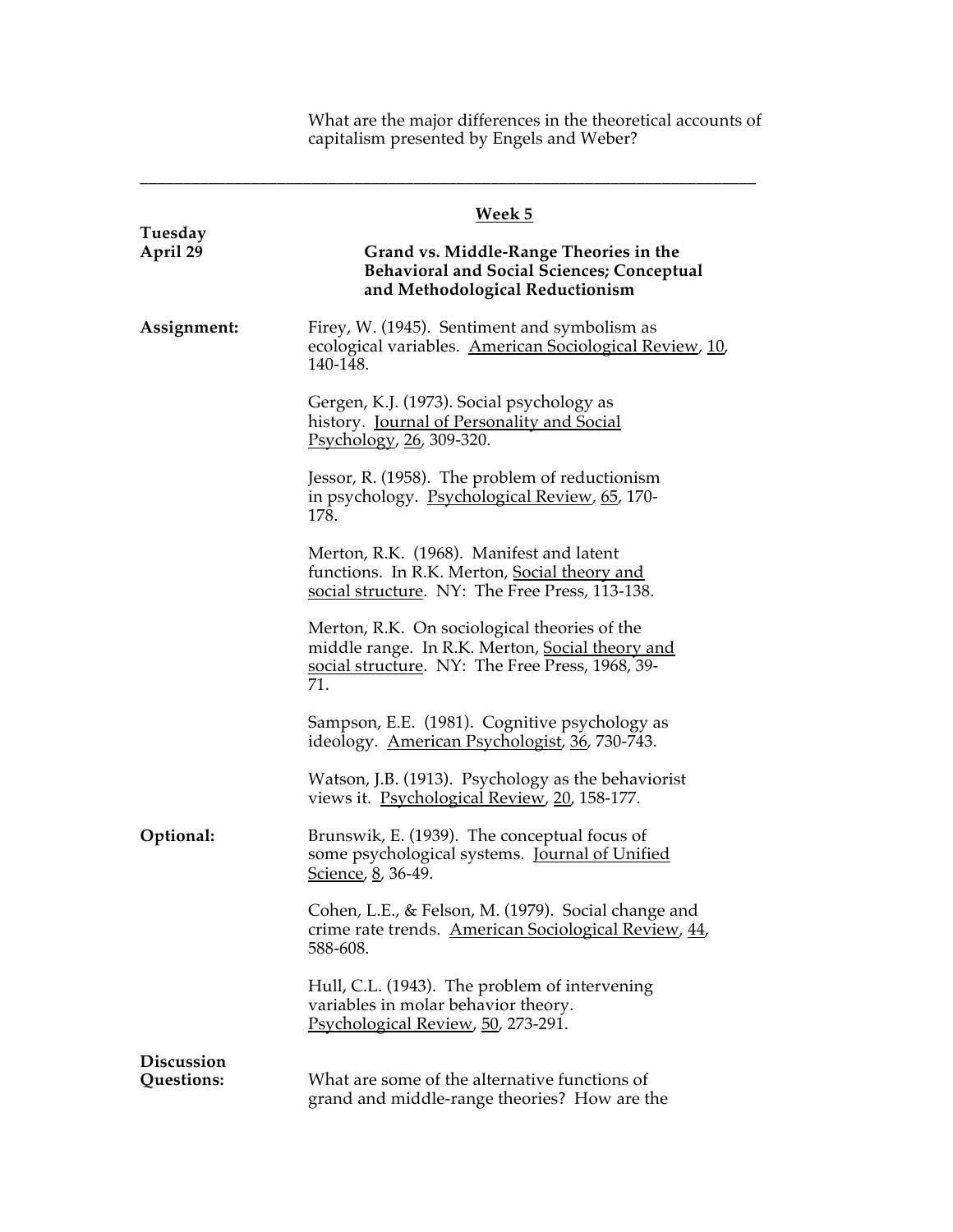What are the major differences in the theoretical accounts of capitalism presented by Engels and Weber?

|                          | <u>Week 5</u>                                                                                                                                             |
|--------------------------|-----------------------------------------------------------------------------------------------------------------------------------------------------------|
| Tuesday<br>April 29      | Grand vs. Middle-Range Theories in the<br><b>Behavioral and Social Sciences; Conceptual</b><br>and Methodological Reductionism                            |
| Assignment:              | Firey, W. (1945). Sentiment and symbolism as<br>ecological variables. American Sociological Review, 10,<br>140-148.                                       |
|                          | Gergen, K.J. (1973). Social psychology as<br>history. Journal of Personality and Social<br>Psychology, 26, 309-320.                                       |
|                          | Jessor, R. (1958). The problem of reductionism<br>in psychology. Psychological Review, 65, 170-<br>178.                                                   |
|                          | Merton, R.K. (1968). Manifest and latent<br>functions. In R.K. Merton, Social theory and<br>social structure. NY: The Free Press, 113-138.                |
|                          | Merton, R.K. On sociological theories of the<br>middle range. In R.K. Merton, Social theory and<br>social structure. NY: The Free Press, 1968, 39-<br>71. |
|                          | Sampson, E.E. (1981). Cognitive psychology as<br>ideology. American Psychologist, 36, 730-743.                                                            |
|                          | Watson, J.B. (1913). Psychology as the behaviorist<br>views it. Psychological Review, 20, 158-177.                                                        |
| Optional:                | Brunswik, E. (1939). The conceptual focus of<br>some psychological systems. Journal of Unified<br>Science, 8, 36-49.                                      |
|                          | Cohen, L.E., & Felson, M. (1979). Social change and<br>crime rate trends. American Sociological Review, 44,<br>588-608.                                   |
|                          | Hull, C.L. (1943). The problem of intervening<br>variables in molar behavior theory.<br>Psychological Review, 50, 273-291.                                |
| Discussion<br>Questions: | What are some of the alternative functions of<br>grand and middle-range theories? How are the                                                             |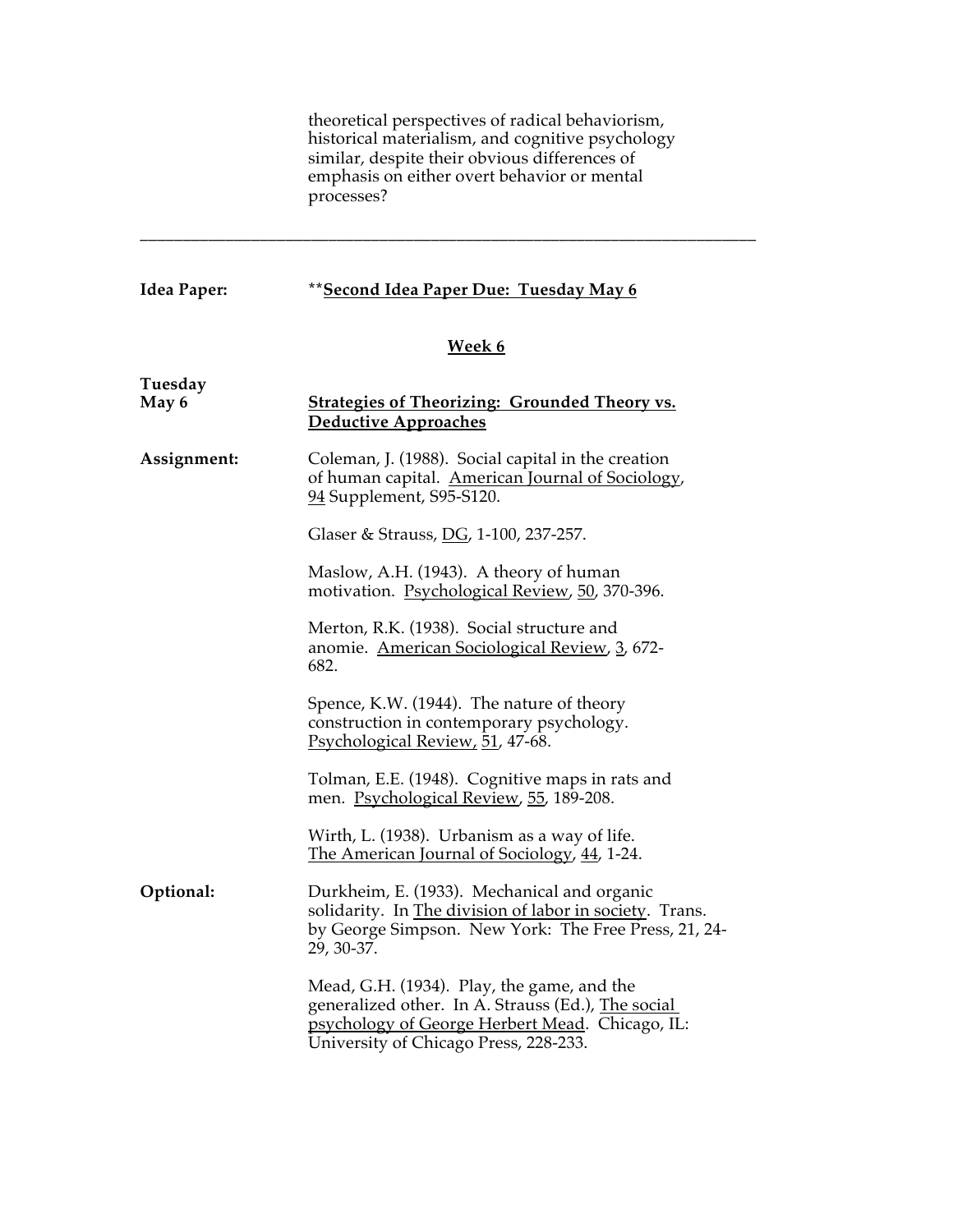theoretical perspectives of radical behaviorism, historical materialism, and cognitive psychology similar, despite their obvious differences of emphasis on either overt behavior or mental processes?

### **Idea Paper: \*\*Second Idea Paper Due: Tuesday May 6**

### **Week 6**

| Tuesday<br>May 6 | <b>Strategies of Theorizing: Grounded Theory vs.</b><br>Deductive Approaches                                                                                                                 |
|------------------|----------------------------------------------------------------------------------------------------------------------------------------------------------------------------------------------|
| Assignment:      | Coleman, J. (1988). Social capital in the creation<br>of human capital. American Journal of Sociology,<br>94 Supplement, S95-S120.                                                           |
|                  | Glaser & Strauss, DG, 1-100, 237-257.                                                                                                                                                        |
|                  | Maslow, A.H. (1943). A theory of human<br>motivation. Psychological Review, 50, 370-396.                                                                                                     |
|                  | Merton, R.K. (1938). Social structure and<br>anomie. American Sociological Review, 3, 672-<br>682.                                                                                           |
|                  | Spence, K.W. (1944). The nature of theory<br>construction in contemporary psychology.<br>Psychological Review, 51, 47-68.                                                                    |
|                  | Tolman, E.E. (1948). Cognitive maps in rats and<br>men. Psychological Review, 55, 189-208.                                                                                                   |
|                  | Wirth, L. (1938). Urbanism as a way of life.<br>The American Journal of Sociology, 44, 1-24.                                                                                                 |
| Optional:        | Durkheim, E. (1933). Mechanical and organic<br>solidarity. In The division of labor in society. Trans.<br>by George Simpson. New York: The Free Press, 21, 24-<br>29, 30-37.                 |
|                  | Mead, G.H. (1934). Play, the game, and the<br>generalized other. In A. Strauss (Ed.), The social<br>psychology of George Herbert Mead. Chicago, IL:<br>University of Chicago Press, 228-233. |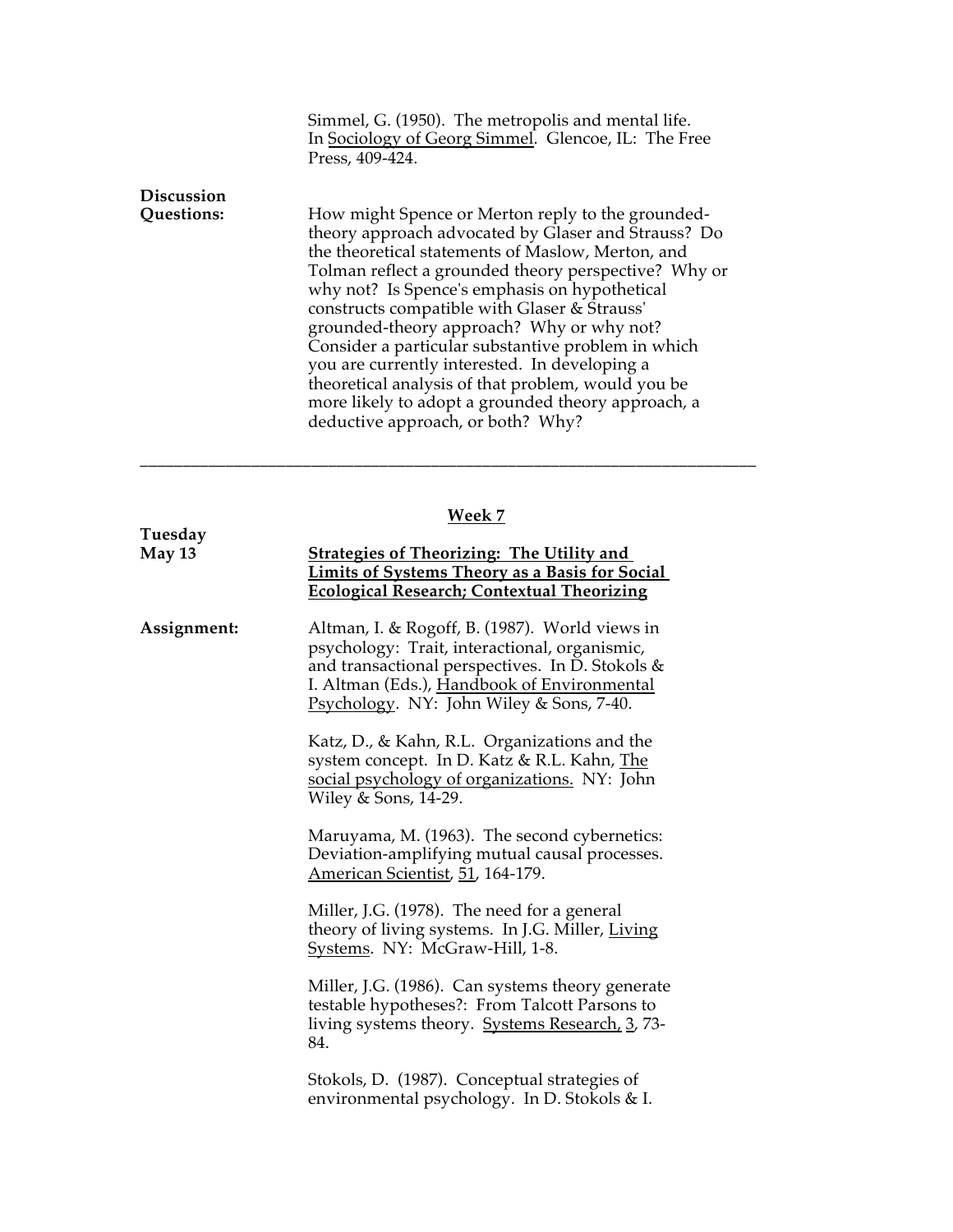|                   | Simmel, G. (1950). The metropolis and mental life.<br>In Sociology of Georg Simmel. Glencoe, IL: The Free<br>Press, 409-424.                                                                                                                                                                                                                                                                                                                                                                                                                                                                                                |
|-------------------|-----------------------------------------------------------------------------------------------------------------------------------------------------------------------------------------------------------------------------------------------------------------------------------------------------------------------------------------------------------------------------------------------------------------------------------------------------------------------------------------------------------------------------------------------------------------------------------------------------------------------------|
| <b>Discussion</b> |                                                                                                                                                                                                                                                                                                                                                                                                                                                                                                                                                                                                                             |
| Questions:        | How might Spence or Merton reply to the grounded-<br>theory approach advocated by Glaser and Strauss? Do<br>the theoretical statements of Maslow, Merton, and<br>Tolman reflect a grounded theory perspective? Why or<br>why not? Is Spence's emphasis on hypothetical<br>constructs compatible with Glaser & Strauss'<br>grounded-theory approach? Why or why not?<br>Consider a particular substantive problem in which<br>you are currently interested. In developing a<br>theoretical analysis of that problem, would you be<br>more likely to adopt a grounded theory approach, a<br>deductive approach, or both? Why? |

## **Week 7**

| Tuesday     |                                                                                                                                                                                                                                               |
|-------------|-----------------------------------------------------------------------------------------------------------------------------------------------------------------------------------------------------------------------------------------------|
| May 13      | <b>Strategies of Theorizing: The Utility and</b><br><b>Limits of Systems Theory as a Basis for Social</b><br><b>Ecological Research; Contextual Theorizing</b>                                                                                |
| Assignment: | Altman, I. & Rogoff, B. (1987). World views in<br>psychology: Trait, interactional, organismic,<br>and transactional perspectives. In D. Stokols &<br>I. Altman (Eds.), Handbook of Environmental<br>Psychology. NY: John Wiley & Sons, 7-40. |
|             | Katz, D., & Kahn, R.L. Organizations and the<br>system concept. In D. Katz & R.L. Kahn, The<br>social psychology of organizations. NY: John<br>Wiley & Sons, 14-29.                                                                           |
|             | Maruyama, M. (1963). The second cybernetics:<br>Deviation-amplifying mutual causal processes.<br>American Scientist, 51, 164-179.                                                                                                             |
|             | Miller, J.G. (1978). The need for a general<br>theory of living systems. In J.G. Miller, Living<br>Systems. NY: McGraw-Hill, 1-8.                                                                                                             |
|             | Miller, J.G. (1986). Can systems theory generate<br>testable hypotheses?: From Talcott Parsons to<br>living systems theory. Systems Research, 3, 73-<br>84.                                                                                   |
|             | Stokols, D. (1987). Conceptual strategies of<br>environmental psychology. In D. Stokols & I.                                                                                                                                                  |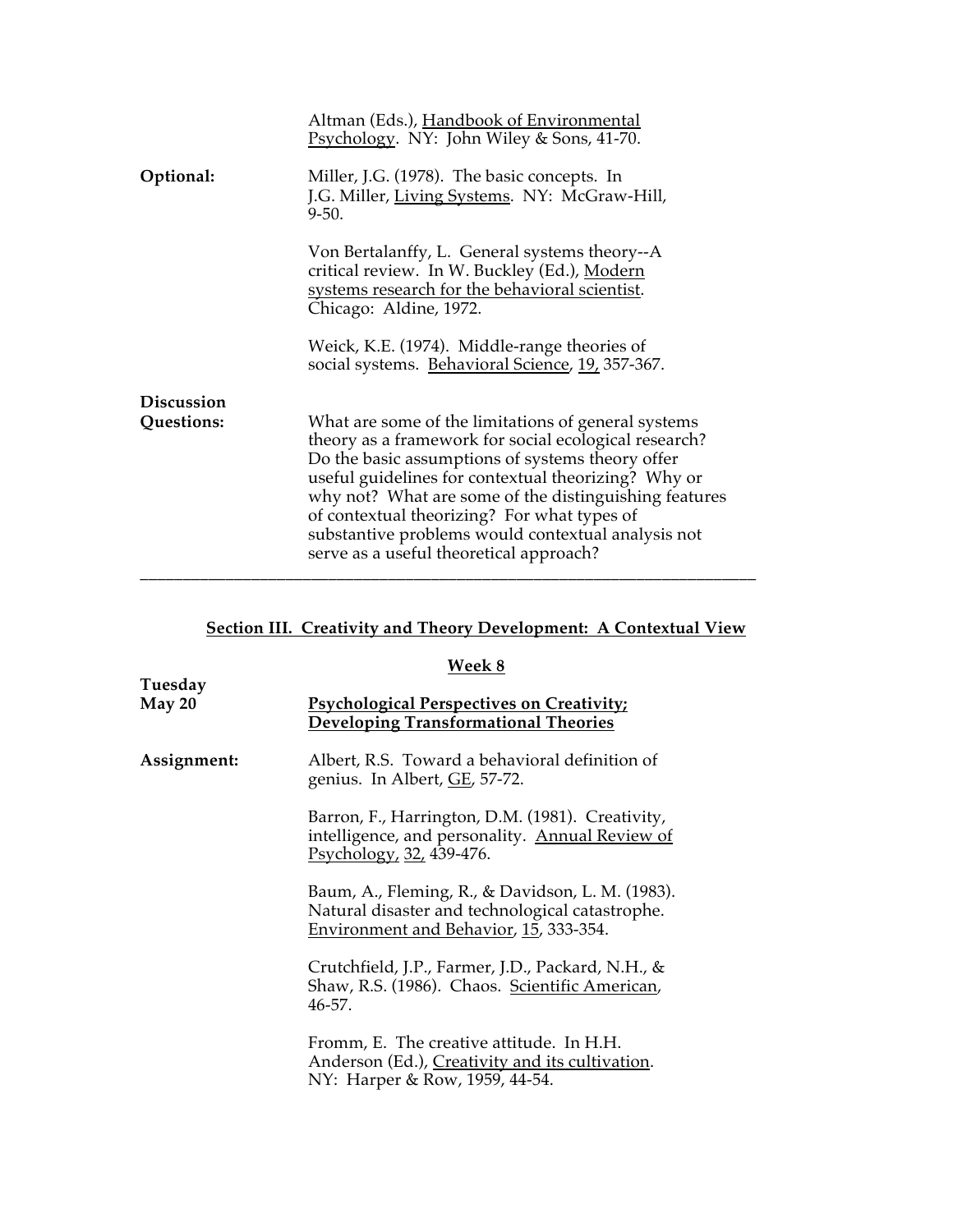|                                 | Altman (Eds.), Handbook of Environmental<br>Psychology. NY: John Wiley & Sons, 41-70.                                                                                                                                                                                                                                                                                                                                            |
|---------------------------------|----------------------------------------------------------------------------------------------------------------------------------------------------------------------------------------------------------------------------------------------------------------------------------------------------------------------------------------------------------------------------------------------------------------------------------|
| Optional:                       | Miller, J.G. (1978). The basic concepts. In<br>J.G. Miller, Living Systems. NY: McGraw-Hill,<br>$9 - 50.$                                                                                                                                                                                                                                                                                                                        |
|                                 | Von Bertalanffy, L. General systems theory--A<br>critical review. In W. Buckley (Ed.), Modern<br>systems research for the behavioral scientist.<br>Chicago: Aldine, 1972.                                                                                                                                                                                                                                                        |
|                                 | Weick, K.E. (1974). Middle-range theories of<br>social systems. Behavioral Science, 19, 357-367.                                                                                                                                                                                                                                                                                                                                 |
| <b>Discussion</b><br>Questions: | What are some of the limitations of general systems<br>theory as a framework for social ecological research?<br>Do the basic assumptions of systems theory offer<br>useful guidelines for contextual theorizing? Why or<br>why not? What are some of the distinguishing features<br>of contextual theorizing? For what types of<br>substantive problems would contextual analysis not<br>serve as a useful theoretical approach? |

## **Section III. Creativity and Theory Development: A Contextual View**

|                   | Week 8                                                                                                                                        |
|-------------------|-----------------------------------------------------------------------------------------------------------------------------------------------|
| Tuesday<br>May 20 | <b>Psychological Perspectives on Creativity;</b><br><b>Developing Transformational Theories</b>                                               |
| Assignment:       | Albert, R.S. Toward a behavioral definition of<br>genius. In Albert, GE, 57-72.                                                               |
|                   | Barron, F., Harrington, D.M. (1981). Creativity,<br>intelligence, and personality. Annual Review of<br>Psychology, 32, 439-476.               |
|                   | Baum, A., Fleming, R., & Davidson, L. M. (1983).<br>Natural disaster and technological catastrophe.<br>Environment and Behavior, 15, 333-354. |
|                   | Crutchfield, J.P., Farmer, J.D., Packard, N.H., &<br>Shaw, R.S. (1986). Chaos. Scientific American,<br>$46 - 57$ .                            |
|                   | Fromm, E. The creative attitude. In H.H.<br>Anderson (Ed.), Creativity and its cultivation.<br>NY: Harper & Row, 1959, 44-54.                 |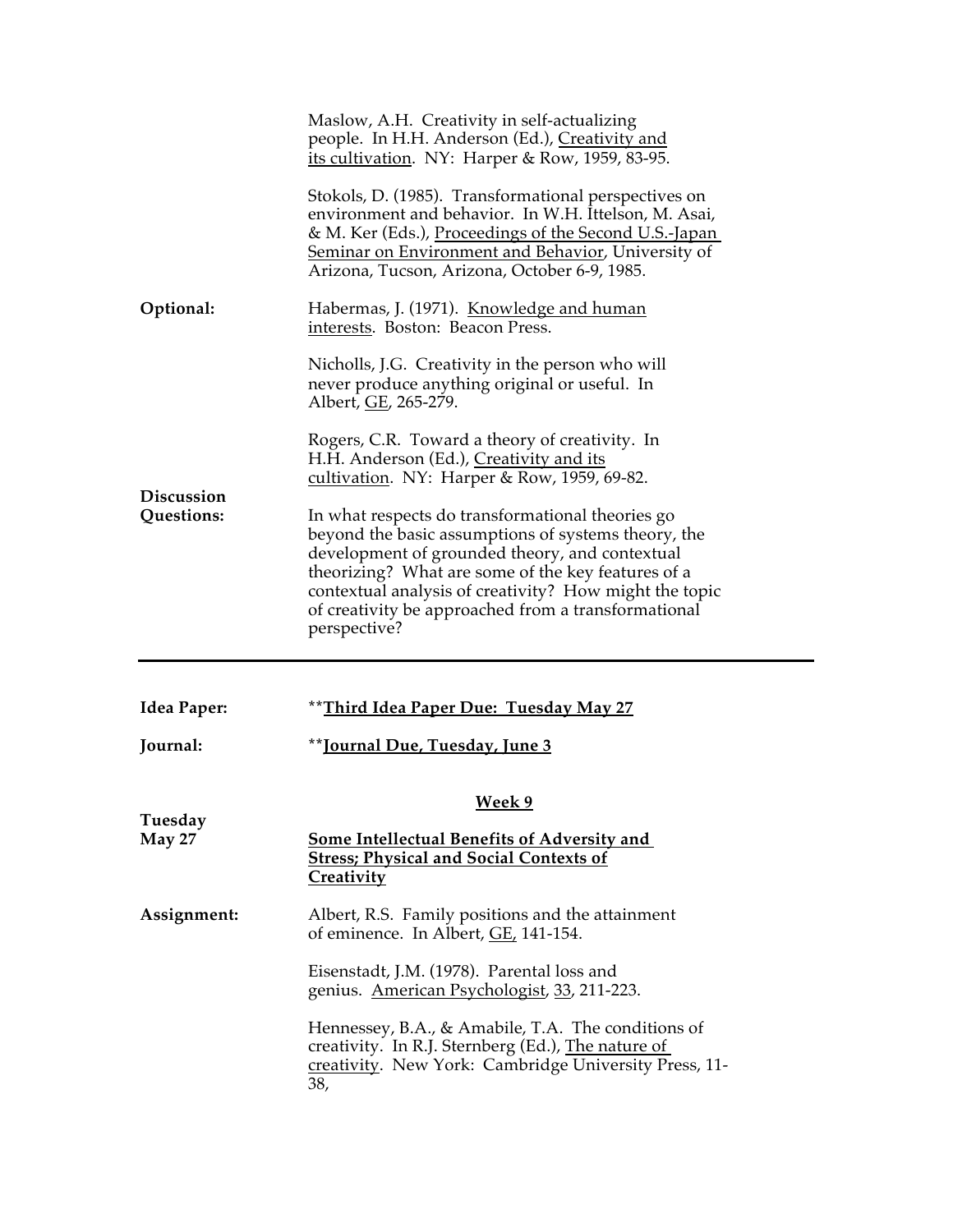|                                 | Maslow, A.H. Creativity in self-actualizing<br>people. In H.H. Anderson (Ed.), Creativity and<br>its cultivation. NY: Harper & Row, 1959, 83-95.                                                                                                                                                                                                 |
|---------------------------------|--------------------------------------------------------------------------------------------------------------------------------------------------------------------------------------------------------------------------------------------------------------------------------------------------------------------------------------------------|
|                                 | Stokols, D. (1985). Transformational perspectives on<br>environment and behavior. In W.H. Ittelson, M. Asai,<br>& M. Ker (Eds.), Proceedings of the Second U.S.-Japan<br>Seminar on Environment and Behavior, University of<br>Arizona, Tucson, Arizona, October 6-9, 1985.                                                                      |
| Optional:                       | Habermas, J. (1971). <u>Knowledge and human</u><br>interests. Boston: Beacon Press.                                                                                                                                                                                                                                                              |
| <b>Discussion</b><br>Questions: | Nicholls, J.G. Creativity in the person who will<br>never produce anything original or useful. In<br>Albert, GE, 265-279.                                                                                                                                                                                                                        |
|                                 | Rogers, C.R. Toward a theory of creativity. In<br>H.H. Anderson (Ed.), Creativity and its<br>cultivation. NY: Harper & Row, 1959, 69-82.                                                                                                                                                                                                         |
|                                 | In what respects do transformational theories go<br>beyond the basic assumptions of systems theory, the<br>development of grounded theory, and contextual<br>theorizing? What are some of the key features of a<br>contextual analysis of creativity? How might the topic<br>of creativity be approached from a transformational<br>perspective? |
| Idea Paper:                     | Third Idea Paper Due: Tuesday May 27                                                                                                                                                                                                                                                                                                             |
| Journal:                        | **Journal Due, Tuesday, June 3                                                                                                                                                                                                                                                                                                                   |
|                                 | <u>Week 9</u>                                                                                                                                                                                                                                                                                                                                    |
| Tuesday<br><b>May 27</b>        | <b>Some Intellectual Benefits of Adversity and</b><br><b>Stress; Physical and Social Contexts of</b><br><u>Creativity</u>                                                                                                                                                                                                                        |
| Assignment:                     | Albert, R.S. Family positions and the attainment<br>of eminence. In Albert, <i>GE</i> , 141-154.                                                                                                                                                                                                                                                 |
|                                 | Eisenstadt, J.M. (1978). Parental loss and<br>genius. American Psychologist, 33, 211-223.                                                                                                                                                                                                                                                        |
|                                 | Hennessey, B.A., & Amabile, T.A. The conditions of<br>creativity. In R.J. Sternberg (Ed.), The nature of<br>creativity. New York: Cambridge University Press, 11-<br>38,                                                                                                                                                                         |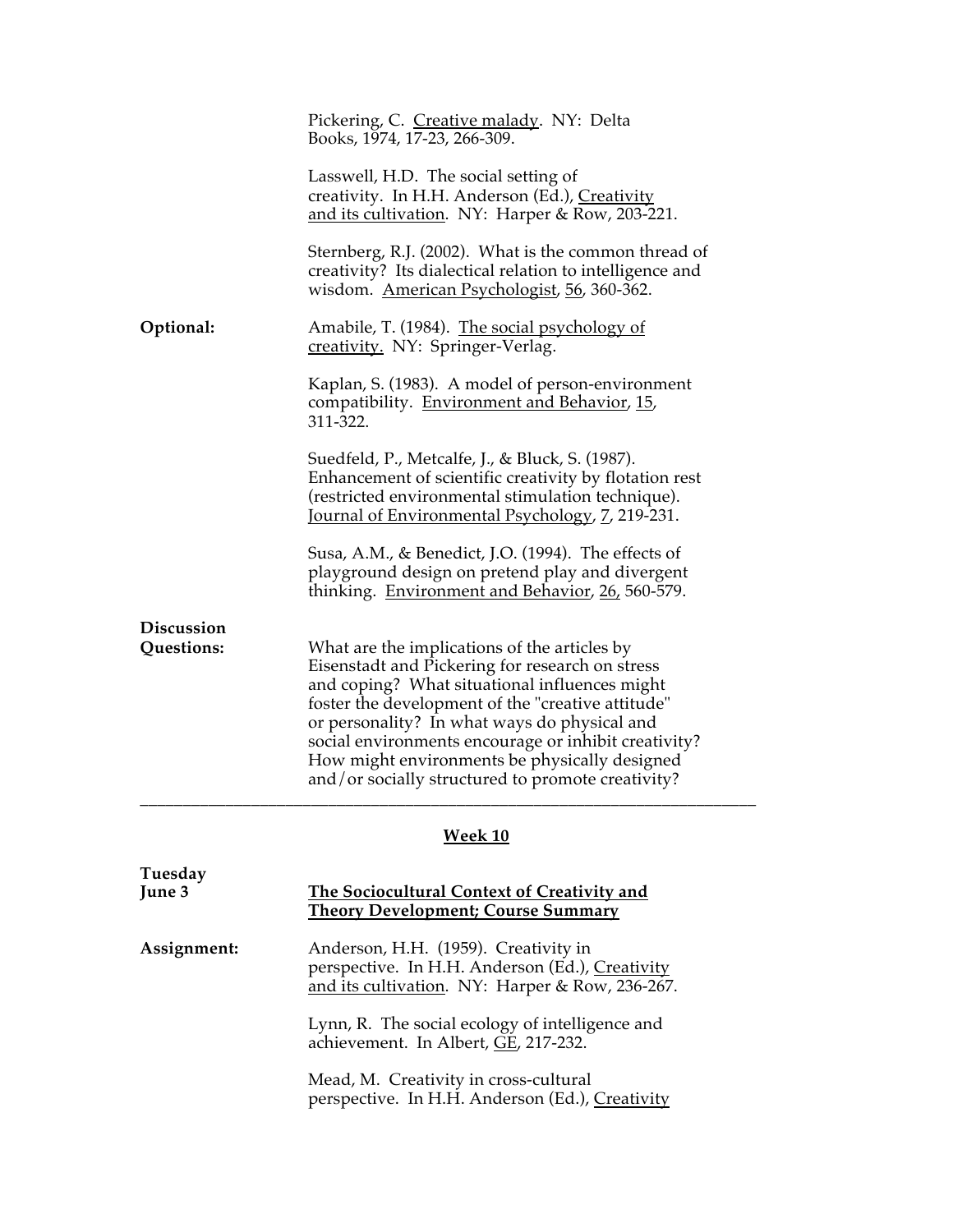|                          | Pickering, C. Creative malady. NY: Delta<br>Books, 1974, 17-23, 266-309.                                                                                                                                                                                                                                                                                                                                            |
|--------------------------|---------------------------------------------------------------------------------------------------------------------------------------------------------------------------------------------------------------------------------------------------------------------------------------------------------------------------------------------------------------------------------------------------------------------|
|                          | Lasswell, H.D. The social setting of<br>creativity. In H.H. Anderson (Ed.), Creativity<br>and its cultivation. NY: Harper & Row, 203-221.                                                                                                                                                                                                                                                                           |
|                          | Sternberg, R.J. (2002). What is the common thread of<br>creativity? Its dialectical relation to intelligence and<br>wisdom. American Psychologist, 56, 360-362.                                                                                                                                                                                                                                                     |
| Optional:                | Amabile, T. (1984). The social psychology of<br>creativity. NY: Springer-Verlag.                                                                                                                                                                                                                                                                                                                                    |
|                          | Kaplan, S. (1983). A model of person-environment<br>compatibility. Environment and Behavior, 15,<br>311-322.                                                                                                                                                                                                                                                                                                        |
|                          | Suedfeld, P., Metcalfe, J., & Bluck, S. (1987).<br>Enhancement of scientific creativity by flotation rest<br>(restricted environmental stimulation technique).<br>Journal of Environmental Psychology, 7, 219-231.                                                                                                                                                                                                  |
|                          | Susa, A.M., & Benedict, J.O. (1994). The effects of<br>playground design on pretend play and divergent<br>thinking. Environment and Behavior, 26, 560-579.                                                                                                                                                                                                                                                          |
| Discussion<br>Questions: | What are the implications of the articles by<br>Eisenstadt and Pickering for research on stress<br>and coping? What situational influences might<br>foster the development of the "creative attitude"<br>or personality? In what ways do physical and<br>social environments encourage or inhibit creativity?<br>How might environments be physically designed<br>and/or socially structured to promote creativity? |

# **Week 10**

| Tuesday<br>June 3 | The Sociocultural Context of Creativity and<br><b>Theory Development; Course Summary</b>                                                   |
|-------------------|--------------------------------------------------------------------------------------------------------------------------------------------|
| Assignment:       | Anderson, H.H. (1959). Creativity in<br>perspective. In H.H. Anderson (Ed.), Creativity<br>and its cultivation. NY: Harper & Row, 236-267. |
|                   | Lynn, R. The social ecology of intelligence and<br>achievement. In Albert, GE, 217-232.                                                    |
|                   | Mead, M. Creativity in cross-cultural<br>perspective. In H.H. Anderson (Ed.), Creativity                                                   |